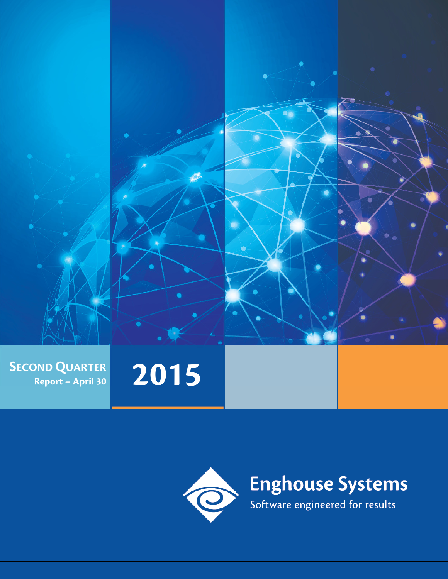

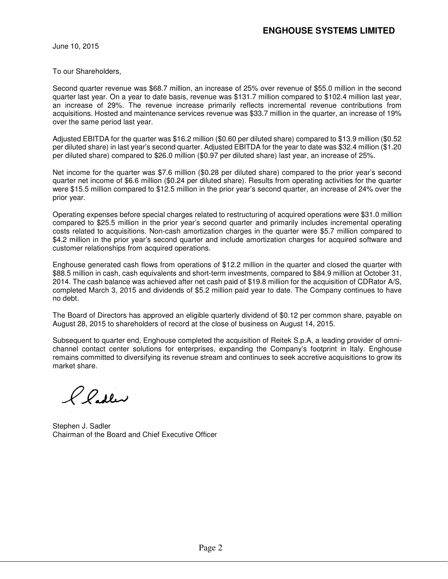June 10, 2015

To our Shareholders,

Second quarter revenue was \$68.7 million, an increase of 25% over revenue of \$55.0 million in the second quarter last year. On a year to date basis, revenue was \$131.7 million compared to \$102.4 million last year, an increase of 29%. The revenue increase primarily reflects incremental revenue contributions from acquisitions. Hosted and maintenance services revenue was \$33.7 million in the quarter, an increase of 19% over the same period last year.

Adjusted EBITDA for the quarter was \$16.2 million (\$0.60 per diluted share) compared to \$13.9 million (\$0.52 per diluted share) in last year's second quarter. Adjusted EBITDA for the year to date was \$32.4 million (\$1.20 per diluted share) compared to \$26.0 million (\$0.97 per diluted share) last year, an increase of 25%.

Net income for the quarter was \$7.6 million (\$0.28 per diluted share) compared to the prior year's second quarter net income of \$6.6 million (\$0.24 per diluted share). Results from operating activities for the quarter were \$15.5 million compared to \$12.5 million in the prior year's second quarter, an increase of 24% over the prior year.

Operating expenses before special charges related to restructuring of acquired operations were \$31.0 million compared to \$25.5 million in the prior year's second quarter and primarily includes incremental operating costs related to acquisitions. Non-cash amortization charges in the quarter were \$5.7 million compared to \$4.2 million in the prior year's second quarter and include amortization charges for acquired software and customer relationships from acquired operations.

Enghouse generated cash flows from operations of \$12.2 million in the quarter and closed the quarter with \$88.5 million in cash, cash equivalents and short-term investments, compared to \$84.9 million at October 31, 2014. The cash balance was achieved after net cash paid of \$19.8 million for the acquisition of CDRator A/S, completed March 3, 2015 and dividends of \$5.2 million paid year to date. The Company continues to have no debt.

The Board of Directors has approved an eligible quarterly dividend of \$0.12 per common share, payable on August 28, 2015 to shareholders of record at the close of business on August 14, 2015.

Subsequent to quarter end, Enghouse completed the acquisition of Reitek S.p.A, a leading provider of omnichannel contact center solutions for enterprises, expanding the Company's footprint in Italy. Enghouse remains committed to diversifying its revenue stream and continues to seek accretive acquisitions to grow its market share.

Pladler

Stephen J. Sadler Chairman of the Board and Chief Executive Officer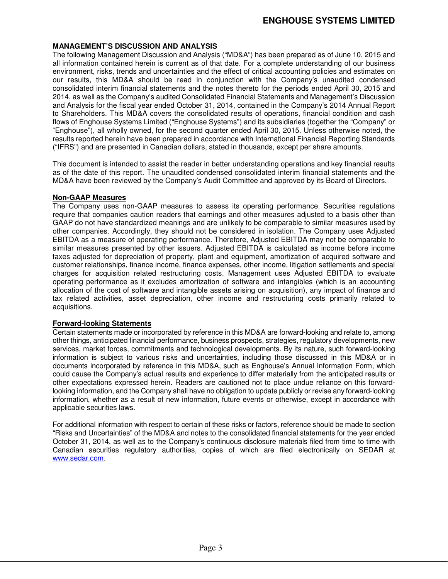#### **MANAGEMENT'S DISCUSSION AND ANALYSIS**

The following Management Discussion and Analysis ("MD&A") has been prepared as of June 10, 2015 and all information contained herein is current as of that date. For a complete understanding of our business environment, risks, trends and uncertainties and the effect of critical accounting policies and estimates on our results, this MD&A should be read in conjunction with the Company's unaudited condensed consolidated interim financial statements and the notes thereto for the periods ended April 30, 2015 and 2014, as well as the Company's audited Consolidated Financial Statements and Management's Discussion and Analysis for the fiscal year ended October 31, 2014, contained in the Company's 2014 Annual Report to Shareholders. This MD&A covers the consolidated results of operations, financial condition and cash flows of Enghouse Systems Limited ("Enghouse Systems") and its subsidiaries (together the "Company" or "Enghouse"), all wholly owned, for the second quarter ended April 30, 2015. Unless otherwise noted, the results reported herein have been prepared in accordance with International Financial Reporting Standards ("IFRS") and are presented in Canadian dollars, stated in thousands, except per share amounts.

This document is intended to assist the reader in better understanding operations and key financial results as of the date of this report. The unaudited condensed consolidated interim financial statements and the MD&A have been reviewed by the Company's Audit Committee and approved by its Board of Directors.

#### **Non-GAAP Measures**

The Company uses non-GAAP measures to assess its operating performance. Securities regulations require that companies caution readers that earnings and other measures adjusted to a basis other than GAAP do not have standardized meanings and are unlikely to be comparable to similar measures used by other companies. Accordingly, they should not be considered in isolation. The Company uses Adjusted EBITDA as a measure of operating performance. Therefore, Adjusted EBITDA may not be comparable to similar measures presented by other issuers. Adjusted EBITDA is calculated as income before income taxes adjusted for depreciation of property, plant and equipment, amortization of acquired software and customer relationships, finance income, finance expenses, other income, litigation settlements and special charges for acquisition related restructuring costs. Management uses Adjusted EBITDA to evaluate operating performance as it excludes amortization of software and intangibles (which is an accounting allocation of the cost of software and intangible assets arising on acquisition), any impact of finance and tax related activities, asset depreciation, other income and restructuring costs primarily related to acquisitions.

#### **Forward-looking Statements**

Certain statements made or incorporated by reference in this MD&A are forward-looking and relate to, among other things, anticipated financial performance, business prospects, strategies, regulatory developments, new services, market forces, commitments and technological developments. By its nature, such forward-looking information is subject to various risks and uncertainties, including those discussed in this MD&A or in documents incorporated by reference in this MD&A, such as Enghouse's Annual Information Form, which could cause the Company's actual results and experience to differ materially from the anticipated results or other expectations expressed herein. Readers are cautioned not to place undue reliance on this forwardlooking information, and the Company shall have no obligation to update publicly or revise any forward-looking information, whether as a result of new information, future events or otherwise, except in accordance with applicable securities laws.

For additional information with respect to certain of these risks or factors, reference should be made to section "Risks and Uncertainties" of the MD&A and notes to the consolidated financial statements for the year ended October 31, 2014, as well as to the Company's continuous disclosure materials filed from time to time with Canadian securities regulatory authorities, copies of which are filed electronically on SEDAR at www.sedar.com.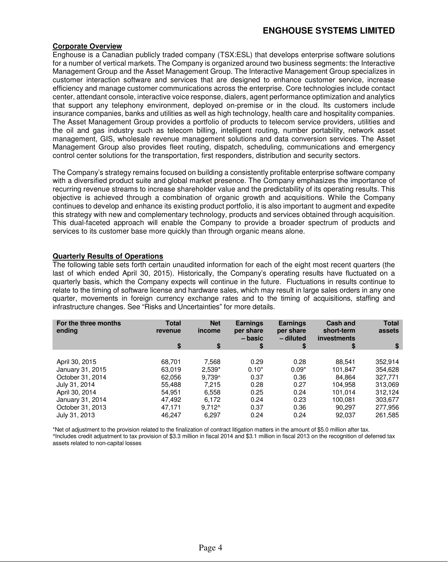### **ENGHOUSE SYSTEMS LIMITED**

#### **Corporate Overview**

Enghouse is a Canadian publicly traded company (TSX:ESL) that develops enterprise software solutions for a number of vertical markets. The Company is organized around two business segments: the Interactive Management Group and the Asset Management Group. The Interactive Management Group specializes in customer interaction software and services that are designed to enhance customer service, increase efficiency and manage customer communications across the enterprise. Core technologies include contact center, attendant console, interactive voice response, dialers, agent performance optimization and analytics that support any telephony environment, deployed on-premise or in the cloud. Its customers include insurance companies, banks and utilities as well as high technology, health care and hospitality companies. The Asset Management Group provides a portfolio of products to telecom service providers, utilities and the oil and gas industry such as telecom billing, intelligent routing, number portability, network asset management, GIS, wholesale revenue management solutions and data conversion services. The Asset Management Group also provides fleet routing, dispatch, scheduling, communications and emergency control center solutions for the transportation, first responders, distribution and security sectors.

The Company's strategy remains focused on building a consistently profitable enterprise software company with a diversified product suite and global market presence. The Company emphasizes the importance of recurring revenue streams to increase shareholder value and the predictability of its operating results. This objective is achieved through a combination of organic growth and acquisitions. While the Company continues to develop and enhance its existing product portfolio, it is also important to augment and expedite this strategy with new and complementary technology, products and services obtained through acquisition. This dual-faceted approach will enable the Company to provide a broader spectrum of products and services to its customer base more quickly than through organic means alone.

#### **Quarterly Results of Operations**

The following table sets forth certain unaudited information for each of the eight most recent quarters (the last of which ended April 30, 2015). Historically, the Company's operating results have fluctuated on a quarterly basis, which the Company expects will continue in the future. Fluctuations in results continue to relate to the timing of software license and hardware sales, which may result in large sales orders in any one quarter, movements in foreign currency exchange rates and to the timing of acquisitions, staffing and infrastructure changes. See "Risks and Uncertainties" for more details.

| For the three months<br>ending | <b>Total</b><br>revenue | <b>Net</b><br>income | <b>Earnings</b><br>per share<br>– basic | <b>Earnings</b><br>per share<br>- diluted | <b>Cash and</b><br>short-term<br><b>investments</b> | <b>Total</b><br>assets |
|--------------------------------|-------------------------|----------------------|-----------------------------------------|-------------------------------------------|-----------------------------------------------------|------------------------|
|                                | \$                      | \$                   | \$                                      | \$                                        | S                                                   | \$                     |
|                                |                         |                      |                                         |                                           |                                                     |                        |
| April 30, 2015                 | 68.701                  | 7,568                | 0.29                                    | 0.28                                      | 88.541                                              | 352,914                |
| January 31, 2015               | 63,019                  | $2,539*$             | $0.10*$                                 | $0.09*$                                   | 101,847                                             | 354,628                |
| October 31, 2014               | 62,056                  | $9.739^$             | 0.37                                    | 0.36                                      | 84.864                                              | 327,771                |
| July 31, 2014                  | 55.488                  | 7.215                | 0.28                                    | 0.27                                      | 104,958                                             | 313,069                |
| April 30, 2014                 | 54,951                  | 6,558                | 0.25                                    | 0.24                                      | 101.014                                             | 312,124                |
| January 31, 2014               | 47,492                  | 6.172                | 0.24                                    | 0.23                                      | 100.081                                             | 303,677                |
| October 31, 2013               | 47.171                  | $9.712^$             | 0.37                                    | 0.36                                      | 90.297                                              | 277,956                |
| July 31, 2013                  | 46.247                  | 6,297                | 0.24                                    | 0.24                                      | 92,037                                              | 261,585                |

\*Net of adjustment to the provision related to the finalization of contract litigation matters in the amount of \$5.0 million after tax. ^Includes credit adjustment to tax provision of \$3.3 million in fiscal 2014 and \$3.1 million in fiscal 2013 on the recognition of deferred tax assets related to non-capital losses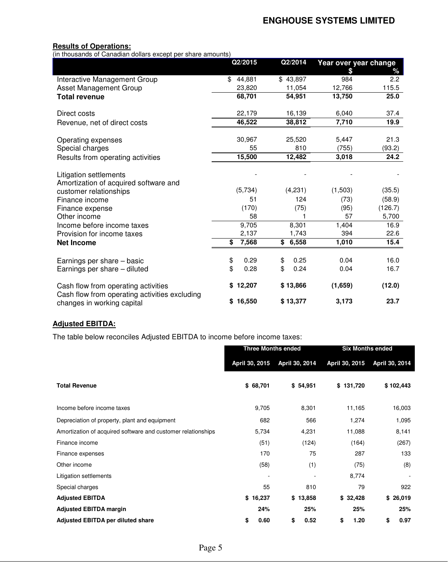#### **Results of Operations:**

(in thousands of Canadian dollars except per share amounts)

|                                                                                      | Q2/2015            | Q2/2014    | Year over year change |         |
|--------------------------------------------------------------------------------------|--------------------|------------|-----------------------|---------|
|                                                                                      |                    |            | \$                    | ℅       |
| Interactive Management Group                                                         | \$<br>44,881       | \$43,897   | 984                   | 2.2     |
| Asset Management Group                                                               | 23,820             | 11,054     | 12,766                | 115.5   |
| <b>Total revenue</b>                                                                 | 68,701             | 54,951     | 13,750                | 25.0    |
| Direct costs                                                                         | 22,179             | 16,139     | 6,040                 | 37.4    |
| Revenue, net of direct costs                                                         | 46,522             | 38,812     | 7,710                 | 19.9    |
| Operating expenses                                                                   | 30,967             | 25,520     | 5,447                 | 21.3    |
| Special charges                                                                      | 55                 | 810        | (755)                 | (93.2)  |
| Results from operating activities                                                    | 15,500             | 12,482     | 3,018                 | 24.2    |
| Litigation settlements<br>Amortization of acquired software and                      |                    |            |                       |         |
| customer relationships                                                               | (5,734)            | (4,231)    | (1,503)               | (35.5)  |
| Finance income                                                                       | 51                 | 124        | (73)                  | (58.9)  |
| Finance expense                                                                      | (170)              | (75)       | (95)                  | (126.7) |
| Other income                                                                         | 58                 |            | 57                    | 5,700   |
| Income before income taxes                                                           | $\overline{9,705}$ | 8,301      | 1,404                 | 16.9    |
| Provision for income taxes                                                           | 2,137              | 1,743      | 394                   | 22.6    |
| <b>Net Income</b>                                                                    | 7,568<br>\$        | \$6,558    | 1,010                 | 15.4    |
| Earnings per share - basic                                                           | 0.29<br>\$         | 0.25<br>\$ | 0.04                  | 16.0    |
| Earnings per share - diluted                                                         | \$<br>0.28         | \$<br>0.24 | 0.04                  | 16.7    |
| Cash flow from operating activities<br>Cash flow from operating activities excluding | 12,207<br>\$       | \$13,866   | (1,659)               | (12.0)  |
| changes in working capital                                                           | 16,550<br>\$       | \$13,377   | 3,173                 | 23.7    |

## **Adjusted EBITDA:**

The table below reconciles Adjusted EBITDA to income before income taxes:

|                                                              | <b>Three Months ended</b> |                | <b>Six Months ended</b> |                |  |
|--------------------------------------------------------------|---------------------------|----------------|-------------------------|----------------|--|
|                                                              | April 30, 2015            | April 30, 2014 | April 30, 2015          | April 30, 2014 |  |
| <b>Total Revenue</b>                                         | \$68,701                  | \$54,951       | \$131,720               | \$102,443      |  |
| Income before income taxes                                   | 9,705                     | 8,301          | 11,165                  | 16,003         |  |
| Depreciation of property, plant and equipment                | 682                       | 566            | 1,274                   | 1,095          |  |
| Amortization of acquired software and customer relationships | 5,734                     | 4,231          | 11,088                  | 8,141          |  |
| Finance income                                               | (51)                      | (124)          | (164)                   | (267)          |  |
| Finance expenses                                             | 170                       | 75             | 287                     | 133            |  |
| Other income                                                 | (58)                      | (1)            | (75)                    | (8)            |  |
| Litigation settlements                                       | $\overline{\phantom{a}}$  | ٠              | 8,774                   |                |  |
| Special charges                                              | 55                        | 810            | 79                      | 922            |  |
| <b>Adjusted EBITDA</b>                                       | \$16,237                  | \$13,858       | \$32,428                | \$<br>26,019   |  |
| <b>Adjusted EBITDA margin</b>                                | 24%                       | 25%            | 25%                     | 25%            |  |
| <b>Adjusted EBITDA per diluted share</b>                     | 0.60<br>\$                | \$<br>0.52     | 1.20<br>\$              | \$<br>0.97     |  |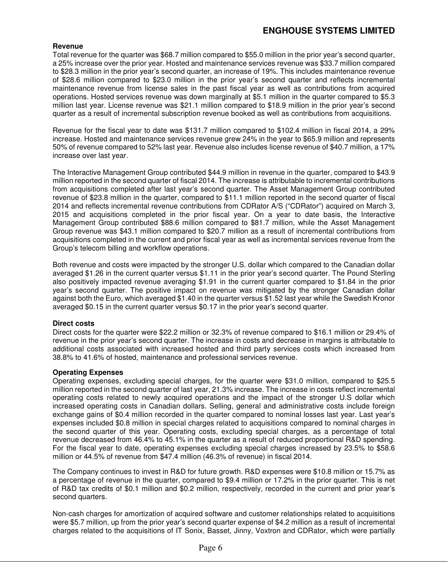### **ENGHOUSE SYSTEMS LIMITED**

#### **Revenue**

Total revenue for the quarter was \$68.7 million compared to \$55.0 million in the prior year's second quarter, a 25% increase over the prior year. Hosted and maintenance services revenue was \$33.7 million compared to \$28.3 million in the prior year's second quarter, an increase of 19%. This includes maintenance revenue of \$28.6 million compared to \$23.0 million in the prior year's second quarter and reflects incremental maintenance revenue from license sales in the past fiscal year as well as contributions from acquired operations. Hosted services revenue was down marginally at \$5.1 million in the quarter compared to \$5.3 million last year. License revenue was \$21.1 million compared to \$18.9 million in the prior year's second quarter as a result of incremental subscription revenue booked as well as contributions from acquisitions.

Revenue for the fiscal year to date was \$131.7 million compared to \$102.4 million in fiscal 2014, a 29% increase. Hosted and maintenance services revenue grew 24% in the year to \$65.9 million and represents 50% of revenue compared to 52% last year. Revenue also includes license revenue of \$40.7 million, a 17% increase over last year.

The Interactive Management Group contributed \$44.9 million in revenue in the quarter, compared to \$43.9 million reported in the second quarter of fiscal 2014. The increase is attributable to incremental contributions from acquisitions completed after last year's second quarter. The Asset Management Group contributed revenue of \$23.8 million in the quarter, compared to \$11.1 million reported in the second quarter of fiscal 2014 and reflects incremental revenue contributions from CDRator A/S ("CDRator") acquired on March 3, 2015 and acquisitions completed in the prior fiscal year. On a year to date basis, the Interactive Management Group contributed \$88.6 million compared to \$81.7 million, while the Asset Management Group revenue was \$43.1 million compared to \$20.7 million as a result of incremental contributions from acquisitions completed in the current and prior fiscal year as well as incremental services revenue from the Group's telecom billing and workflow operations.

Both revenue and costs were impacted by the stronger U.S. dollar which compared to the Canadian dollar averaged \$1.26 in the current quarter versus \$1.11 in the prior year's second quarter. The Pound Sterling also positively impacted revenue averaging \$1.91 in the current quarter compared to \$1.84 in the prior year's second quarter. The positive impact on revenue was mitigated by the stronger Canadian dollar against both the Euro, which averaged \$1.40 in the quarter versus \$1.52 last year while the Swedish Kronor averaged \$0.15 in the current quarter versus \$0.17 in the prior year's second quarter.

#### **Direct costs**

Direct costs for the quarter were \$22.2 million or 32.3% of revenue compared to \$16.1 million or 29.4% of revenue in the prior year's second quarter. The increase in costs and decrease in margins is attributable to additional costs associated with increased hosted and third party services costs which increased from 38.8% to 41.6% of hosted, maintenance and professional services revenue.

#### **Operating Expenses**

Operating expenses, excluding special charges, for the quarter were \$31.0 million, compared to \$25.5 million reported in the second quarter of last year, 21.3% increase. The increase in costs reflect incremental operating costs related to newly acquired operations and the impact of the stronger U.S dollar which increased operating costs in Canadian dollars. Selling, general and administrative costs include foreign exchange gains of \$0.4 million recorded in the quarter compared to nominal losses last year. Last year's expenses included \$0.8 million in special charges related to acquisitions compared to nominal charges in the second quarter of this year. Operating costs, excluding special charges, as a percentage of total revenue decreased from 46.4% to 45.1% in the quarter as a result of reduced proportional R&D spending. For the fiscal year to date, operating expenses excluding special charges increased by 23.5% to \$58.6 million or 44.5% of revenue from \$47.4 million (46.3% of revenue) in fiscal 2014.

The Company continues to invest in R&D for future growth. R&D expenses were \$10.8 million or 15.7% as a percentage of revenue in the quarter, compared to \$9.4 million or 17.2% in the prior quarter. This is net of R&D tax credits of \$0.1 million and \$0.2 million, respectively, recorded in the current and prior year's second quarters.

Non-cash charges for amortization of acquired software and customer relationships related to acquisitions were \$5.7 million, up from the prior year's second quarter expense of \$4.2 million as a result of incremental charges related to the acquisitions of IT Sonix, Basset, Jinny, Voxtron and CDRator, which were partially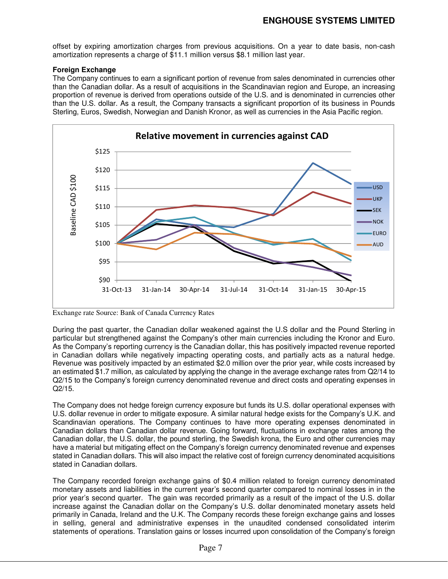offset by expiring amortization charges from previous acquisitions. On a year to date basis, non-cash amortization represents a charge of \$11.1 million versus \$8.1 million last year.

#### **Foreign Exchange**

The Company continues to earn a significant portion of revenue from sales denominated in currencies other than the Canadian dollar. As a result of acquisitions in the Scandinavian region and Europe, an increasing proportion of revenue is derived from operations outside of the U.S. and is denominated in currencies other than the U.S. dollar. As a result, the Company transacts a significant proportion of its business in Pounds Sterling, Euros, Swedish, Norwegian and Danish Kronor, as well as currencies in the Asia Pacific region.



Exchange rate Source: Bank of Canada Currency Rates

During the past quarter, the Canadian dollar weakened against the U.S dollar and the Pound Sterling in particular but strengthened against the Company's other main currencies including the Kronor and Euro. As the Company's reporting currency is the Canadian dollar, this has positively impacted revenue reported in Canadian dollars while negatively impacting operating costs, and partially acts as a natural hedge. Revenue was positively impacted by an estimated \$2.0 million over the prior year, while costs increased by an estimated \$1.7 million, as calculated by applying the change in the average exchange rates from Q2/14 to Q2/15 to the Company's foreign currency denominated revenue and direct costs and operating expenses in Q2/15.

The Company does not hedge foreign currency exposure but funds its U.S. dollar operational expenses with U.S. dollar revenue in order to mitigate exposure. A similar natural hedge exists for the Company's U.K. and Scandinavian operations. The Company continues to have more operating expenses denominated in Canadian dollars than Canadian dollar revenue. Going forward, fluctuations in exchange rates among the Canadian dollar, the U.S. dollar, the pound sterling, the Swedish krona, the Euro and other currencies may have a material but mitigating effect on the Company's foreign currency denominated revenue and expenses stated in Canadian dollars. This will also impact the relative cost of foreign currency denominated acquisitions stated in Canadian dollars.

The Company recorded foreign exchange gains of \$0.4 million related to foreign currency denominated monetary assets and liabilities in the current year's second quarter compared to nominal losses in in the prior year's second quarter. The gain was recorded primarily as a result of the impact of the U.S. dollar increase against the Canadian dollar on the Company's U.S. dollar denominated monetary assets held primarily in Canada, Ireland and the U.K. The Company records these foreign exchange gains and losses in selling, general and administrative expenses in the unaudited condensed consolidated interim statements of operations. Translation gains or losses incurred upon consolidation of the Company's foreign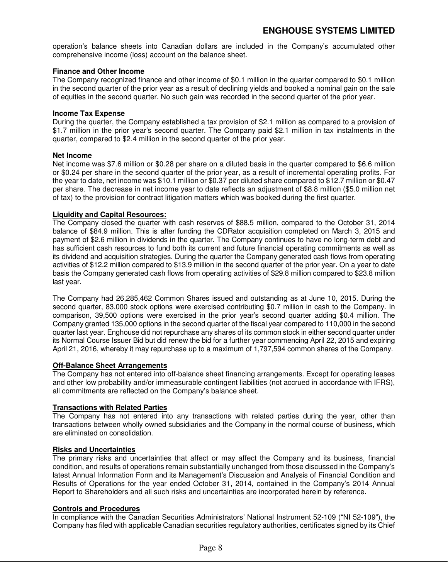operation's balance sheets into Canadian dollars are included in the Company's accumulated other comprehensive income (loss) account on the balance sheet.

#### **Finance and Other Income**

The Company recognized finance and other income of \$0.1 million in the quarter compared to \$0.1 million in the second quarter of the prior year as a result of declining yields and booked a nominal gain on the sale of equities in the second quarter. No such gain was recorded in the second quarter of the prior year.

#### **Income Tax Expense**

During the quarter, the Company established a tax provision of \$2.1 million as compared to a provision of \$1.7 million in the prior year's second quarter. The Company paid \$2.1 million in tax instalments in the quarter, compared to \$2.4 million in the second quarter of the prior year.

#### **Net Income**

Net income was \$7.6 million or \$0.28 per share on a diluted basis in the quarter compared to \$6.6 million or \$0.24 per share in the second quarter of the prior year, as a result of incremental operating profits. For the year to date, net income was \$10.1 million or \$0.37 per diluted share compared to \$12.7 million or \$0.47 per share. The decrease in net income year to date reflects an adjustment of \$8.8 million (\$5.0 million net of tax) to the provision for contract litigation matters which was booked during the first quarter.

#### **Liquidity and Capital Resources:**

The Company closed the quarter with cash reserves of \$88.5 million, compared to the October 31, 2014 balance of \$84.9 million. This is after funding the CDRator acquisition completed on March 3, 2015 and payment of \$2.6 million in dividends in the quarter. The Company continues to have no long-term debt and has sufficient cash resources to fund both its current and future financial operating commitments as well as its dividend and acquisition strategies. During the quarter the Company generated cash flows from operating activities of \$12.2 million compared to \$13.9 million in the second quarter of the prior year. On a year to date basis the Company generated cash flows from operating activities of \$29.8 million compared to \$23.8 million last year.

The Company had 26,285,462 Common Shares issued and outstanding as at June 10, 2015. During the second quarter, 83,000 stock options were exercised contributing \$0.7 million in cash to the Company. In comparison, 39,500 options were exercised in the prior year's second quarter adding \$0.4 million. The Company granted 135,000 options in the second quarter of the fiscal year compared to 110,000 in the second quarter last year. Enghouse did not repurchase any shares of its common stock in either second quarter under its Normal Course Issuer Bid but did renew the bid for a further year commencing April 22, 2015 and expiring April 21, 2016, whereby it may repurchase up to a maximum of 1,797,594 common shares of the Company.

#### **Off-Balance Sheet Arrangements**

The Company has not entered into off-balance sheet financing arrangements. Except for operating leases and other low probability and/or immeasurable contingent liabilities (not accrued in accordance with IFRS), all commitments are reflected on the Company's balance sheet.

#### **Transactions with Related Parties**

The Company has not entered into any transactions with related parties during the year, other than transactions between wholly owned subsidiaries and the Company in the normal course of business, which are eliminated on consolidation.

#### **Risks and Uncertainties**

The primary risks and uncertainties that affect or may affect the Company and its business, financial condition, and results of operations remain substantially unchanged from those discussed in the Company's latest Annual Information Form and its Management's Discussion and Analysis of Financial Condition and Results of Operations for the year ended October 31, 2014, contained in the Company's 2014 Annual Report to Shareholders and all such risks and uncertainties are incorporated herein by reference.

#### **Controls and Procedures**

In compliance with the Canadian Securities Administrators' National Instrument 52-109 ("NI 52-109"), the Company has filed with applicable Canadian securities regulatory authorities, certificates signed by its Chief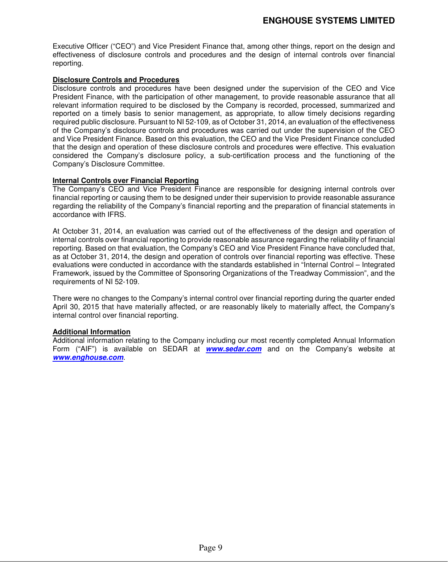Executive Officer ("CEO") and Vice President Finance that, among other things, report on the design and effectiveness of disclosure controls and procedures and the design of internal controls over financial reporting.

#### **Disclosure Controls and Procedures**

Disclosure controls and procedures have been designed under the supervision of the CEO and Vice President Finance, with the participation of other management, to provide reasonable assurance that all relevant information required to be disclosed by the Company is recorded, processed, summarized and reported on a timely basis to senior management, as appropriate, to allow timely decisions regarding required public disclosure. Pursuant to NI 52-109, as of October 31, 2014, an evaluation of the effectiveness of the Company's disclosure controls and procedures was carried out under the supervision of the CEO and Vice President Finance. Based on this evaluation, the CEO and the Vice President Finance concluded that the design and operation of these disclosure controls and procedures were effective. This evaluation considered the Company's disclosure policy, a sub-certification process and the functioning of the Company's Disclosure Committee.

#### **Internal Controls over Financial Reporting**

The Company's CEO and Vice President Finance are responsible for designing internal controls over financial reporting or causing them to be designed under their supervision to provide reasonable assurance regarding the reliability of the Company's financial reporting and the preparation of financial statements in accordance with IFRS.

At October 31, 2014, an evaluation was carried out of the effectiveness of the design and operation of internal controls over financial reporting to provide reasonable assurance regarding the reliability of financial reporting. Based on that evaluation, the Company's CEO and Vice President Finance have concluded that, as at October 31, 2014, the design and operation of controls over financial reporting was effective. These evaluations were conducted in accordance with the standards established in "Internal Control – Integrated Framework, issued by the Committee of Sponsoring Organizations of the Treadway Commission", and the requirements of NI 52-109.

There were no changes to the Company's internal control over financial reporting during the quarter ended April 30, 2015 that have materially affected, or are reasonably likely to materially affect, the Company's internal control over financial reporting.

#### **Additional Information**

Additional information relating to the Company including our most recently completed Annual Information Form ("AIF") is available on SEDAR at **www.sedar.com** and on the Company's website at **www.enghouse.com**.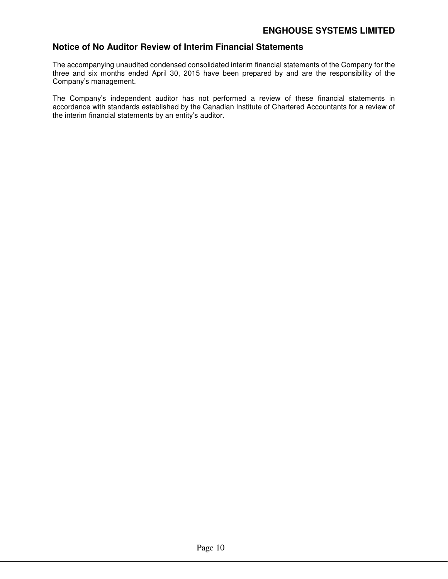## **Notice of No Auditor Review of Interim Financial Statements**

The accompanying unaudited condensed consolidated interim financial statements of the Company for the three and six months ended April 30, 2015 have been prepared by and are the responsibility of the Company's management.

The Company's independent auditor has not performed a review of these financial statements in accordance with standards established by the Canadian Institute of Chartered Accountants for a review of the interim financial statements by an entity's auditor.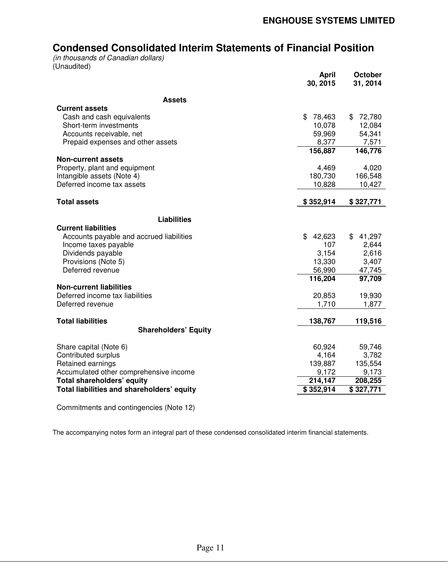# **Condensed Consolidated Interim Statements of Financial Position**

*(in thousands of Canadian dollars)*  (Unaudited)

|                                            | <b>April</b><br>30, 2015 | October<br>31, 2014 |
|--------------------------------------------|--------------------------|---------------------|
| <b>Assets</b>                              |                          |                     |
| <b>Current assets</b>                      |                          |                     |
| Cash and cash equivalents                  | \$<br>78,463             | 72,780<br>\$        |
| Short-term investments                     | 10,078                   | 12,084              |
| Accounts receivable, net                   | 59,969                   | 54,341              |
| Prepaid expenses and other assets          | 8,377                    | 7,571               |
|                                            | 156,887                  | 146,776             |
| <b>Non-current assets</b>                  |                          |                     |
| Property, plant and equipment              | 4,469                    | 4,020               |
| Intangible assets (Note 4)                 | 180,730                  | 166,548             |
| Deferred income tax assets                 | 10,828                   | 10,427              |
| <b>Total assets</b>                        | \$352,914                | \$327,771           |
|                                            |                          |                     |
| <b>Liabilities</b>                         |                          |                     |
| <b>Current liabilities</b>                 |                          |                     |
| Accounts payable and accrued liabilities   | \$<br>42,623             | \$41,297            |
| Income taxes payable                       | 107                      | 2,644               |
| Dividends payable                          | 3,154                    | 2,616               |
| Provisions (Note 5)<br>Deferred revenue    | 13,330<br>56,990         | 3,407<br>47,745     |
|                                            | 116,204                  | 97,709              |
| <b>Non-current liabilities</b>             |                          |                     |
| Deferred income tax liabilities            | 20,853                   | 19,930              |
| Deferred revenue                           | 1,710                    | 1,877               |
|                                            |                          |                     |
| <b>Total liabilities</b>                   | 138,767                  | 119,516             |
| <b>Shareholders' Equity</b>                |                          |                     |
| Share capital (Note 6)                     | 60,924                   | 59,746              |
| Contributed surplus                        | 4,164                    | 3,782               |
| Retained earnings                          | 139,887                  | 135,554             |
| Accumulated other comprehensive income     | 9,172                    | 9,173               |
| Total shareholders' equity                 | 214,147                  | 208,255             |
| Total liabilities and shareholders' equity | \$352,914                | \$327,771           |
|                                            |                          |                     |

Commitments and contingencies (Note 12)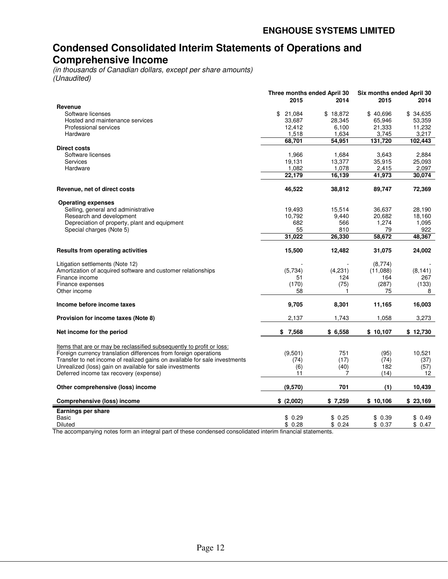# **Condensed Consolidated Interim Statements of Operations and Comprehensive Income**

*(in thousands of Canadian dollars, except per share amounts) (Unaudited)* 

|                                                                            | Three months ended April 30 |                 | Six months ended April 30 |                 |
|----------------------------------------------------------------------------|-----------------------------|-----------------|---------------------------|-----------------|
|                                                                            | 2015                        | 2014            | 2015                      | 2014            |
| Revenue                                                                    |                             |                 |                           |                 |
| Software licenses                                                          | \$<br>21,084                | \$18,872        | \$40,696                  | \$34,635        |
| Hosted and maintenance services<br>Professional services                   | 33,687                      | 28,345<br>6,100 | 65,946                    | 53,359          |
| Hardware                                                                   | 12,412<br>1,518             | 1,634           | 21,333<br>3,745           | 11,232<br>3,217 |
|                                                                            | 68,701                      | 54.951          | 131,720                   | 102,443         |
| Direct costs                                                               |                             |                 |                           |                 |
| Software licenses                                                          | 1,966                       | 1,684           | 3,643                     | 2,884           |
| <b>Services</b>                                                            | 19,131                      | 13,377          | 35,915                    | 25,093          |
| Hardware                                                                   | 1,082                       | 1,078           | 2,415                     | 2,097           |
|                                                                            | 22,179                      | 16,139          | 41,973                    | 30,074          |
|                                                                            |                             |                 |                           |                 |
| Revenue, net of direct costs                                               | 46,522                      | 38,812          | 89,747                    | 72,369          |
| <b>Operating expenses</b>                                                  |                             |                 |                           |                 |
| Selling, general and administrative                                        | 19,493                      | 15,514          | 36,637                    | 28,190          |
| Research and development                                                   | 10,792                      | 9,440           | 20,682                    | 18,160          |
| Depreciation of property, plant and equipment                              | 682                         | 566             | 1,274                     | 1,095           |
| Special charges (Note 5)                                                   | 55                          | 810             | 79                        | 922             |
|                                                                            | 31,022                      | 26,330          | 58,672                    | 48,367          |
| <b>Results from operating activities</b>                                   | 15,500                      | 12,482          | 31,075                    | 24,002          |
| Litigation settlements (Note 12)                                           |                             |                 | (8,774)                   |                 |
| Amortization of acquired software and customer relationships               | (5,734)                     | (4,231)         | (11,088)                  | (8, 141)        |
| Finance income                                                             | 51                          | 124             | 164                       | 267             |
| Finance expenses                                                           | (170)                       | (75)            | (287)                     | (133)           |
| Other income                                                               | 58                          | 1               | 75                        | 8               |
| Income before income taxes                                                 | 9,705                       | 8,301           | 11,165                    | 16,003          |
| Provision for income taxes (Note 8)                                        | 2,137                       | 1,743           | 1,058                     | 3,273           |
| Net income for the period                                                  | \$7,568                     | \$6,558         | \$10,107                  | \$12,730        |
| Items that are or may be reclassified subsequently to profit or loss:      |                             |                 |                           |                 |
| Foreign currency translation differences from foreign operations           | (9,501)                     | 751             | (95)                      | 10,521          |
| Transfer to net income of realized gains on available for sale investments | (74)                        | (17)            | (74)                      | (37)            |
| Unrealized (loss) gain on available for sale investments                   | (6)                         | (40)            | 182                       | (57)            |
| Deferred income tax recovery (expense)                                     | 11                          | 7               | (14)                      | 12              |
| Other comprehensive (loss) income                                          | (9,570)                     | 701             | (1)                       | 10,439          |
| <b>Comprehensive (loss) income</b>                                         | \$ (2,002)                  | \$7,259         | \$10,106                  | \$23,169        |
| Earnings per share                                                         |                             |                 |                           |                 |
| Basic                                                                      | \$<br>0.29                  | \$0.25          | \$0.39                    | \$ 0.49         |
| Diluted                                                                    | \$0.28                      | \$0.24          | \$0.37                    | \$0.47          |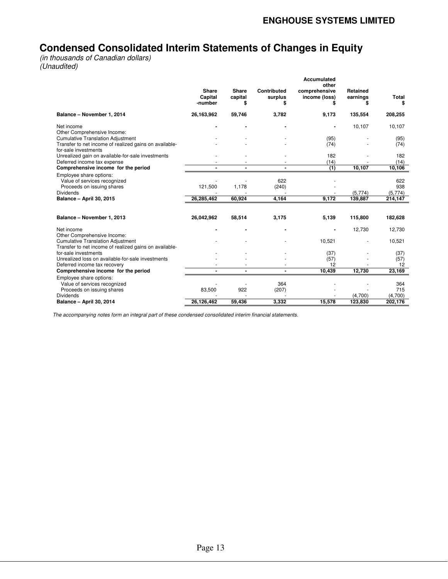# **Condensed Consolidated Interim Statements of Changes in Equity**

*(in thousands of Canadian dollars) (Unaudited)* 

|                                                                                                           |                                    |                               |                              | Accumulated<br>other                 |                            |                    |
|-----------------------------------------------------------------------------------------------------------|------------------------------------|-------------------------------|------------------------------|--------------------------------------|----------------------------|--------------------|
|                                                                                                           | <b>Share</b><br>Capital<br>-number | <b>Share</b><br>capital<br>\$ | Contributed<br>surplus<br>\$ | comprehensive<br>income (loss)<br>\$ | Retained<br>earnings<br>\$ | Total<br>\$        |
| Balance - November 1, 2014                                                                                | 26,163,962                         | 59,746                        | 3,782                        | 9,173                                | 135,554                    | 208,255            |
| Net income<br>Other Comprehensive Income:                                                                 |                                    |                               |                              |                                      | 10,107                     | 10,107             |
| <b>Cumulative Translation Adjustment</b>                                                                  |                                    |                               |                              | (95)                                 |                            | (95)               |
| Transfer to net income of realized gains on available-<br>for-sale investments                            |                                    |                               |                              | (74)                                 |                            | (74)               |
| Unrealized gain on available-for-sale investments                                                         |                                    |                               |                              | 182                                  |                            | 182                |
| Deferred income tax expense                                                                               |                                    |                               |                              | (14)                                 |                            | (14)               |
| Comprehensive income for the period                                                                       |                                    |                               |                              | (1)                                  | 10,107                     | 10,106             |
| Employee share options:<br>Value of services recognized<br>Proceeds on issuing shares<br><b>Dividends</b> | 121,500                            | 1,178                         | 622<br>(240)                 |                                      | (5,774)                    | 622<br>938         |
| <b>Balance - April 30, 2015</b>                                                                           | 26, 285, 462                       | 60,924                        | 4,164                        | 9,172                                | 139,887                    | (5,774)<br>214,147 |
|                                                                                                           |                                    |                               |                              |                                      |                            |                    |
| Balance - November 1, 2013                                                                                | 26,042,962                         | 58,514                        | 3,175                        | 5,139                                | 115,800                    | 182,628            |
| Net income<br>Other Comprehensive Income:                                                                 |                                    |                               |                              |                                      | 12,730                     | 12,730             |
| <b>Cumulative Translation Adjustment</b><br>Transfer to net income of realized gains on available-        |                                    |                               |                              | 10,521                               |                            | 10,521             |
| for-sale investments                                                                                      |                                    |                               |                              | (37)                                 |                            | (37)               |
| Unrealized loss on available-for-sale investments                                                         |                                    |                               |                              | (57)                                 |                            | (57)               |
| Deferred income tax recovery                                                                              |                                    |                               |                              | 12                                   |                            | 12                 |
| Comprehensive income for the period                                                                       |                                    | $\overline{\phantom{0}}$      |                              | 10,439                               | 12,730                     | 23,169             |
| Employee share options:<br>Value of services recognized<br>Proceeds on issuing shares                     | 83,500                             | 922                           | 364<br>(207)                 |                                      |                            | 364<br>715         |
| <b>Dividends</b>                                                                                          |                                    |                               |                              |                                      | (4,700)                    | (4,700)            |
| <b>Balance - April 30, 2014</b>                                                                           | 26.126.462                         | 59,436                        | 3,332                        | 15,578                               | 123,830                    | 202,176            |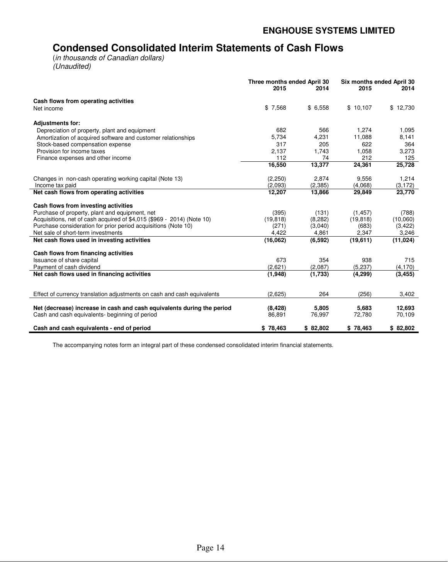# **Condensed Consolidated Interim Statements of Cash Flows**

(*in thousands of Canadian dollars) (Unaudited)* 

|                                                                         | Three months ended April 30<br>2015 | 2014     | Six months ended April 30<br>2015 | 2014      |
|-------------------------------------------------------------------------|-------------------------------------|----------|-----------------------------------|-----------|
| Cash flows from operating activities                                    |                                     |          |                                   |           |
| Net income                                                              | \$7,568                             | \$6,558  | \$10,107                          | \$12,730  |
| <b>Adjustments for:</b>                                                 |                                     |          |                                   |           |
| Depreciation of property, plant and equipment                           | 682                                 | 566      | 1,274                             | 1,095     |
| Amortization of acquired software and customer relationships            | 5,734                               | 4,231    | 11,088                            | 8,141     |
| Stock-based compensation expense                                        | 317                                 | 205      | 622                               | 364       |
| Provision for income taxes                                              | 2,137                               | 1,743    | 1,058                             | 3,273     |
| Finance expenses and other income                                       | 112                                 | 74       | 212                               | 125       |
|                                                                         | 16,550                              | 13,377   | 24,361                            | 25,728    |
| Changes in non-cash operating working capital (Note 13)                 | (2, 250)                            | 2,874    | 9,556                             | 1,214     |
| Income tax paid                                                         | (2,093)                             | (2, 385) | (4,068)                           | (3, 172)  |
| Net cash flows from operating activities                                | 12,207                              | 13,866   | 29,849                            | 23,770    |
| Cash flows from investing activities                                    |                                     |          |                                   |           |
| Purchase of property, plant and equipment, net                          | (395)                               | (131)    | (1, 457)                          | (788)     |
| Acquisitions, net of cash acquired of \$4,015 (\$969 - 2014) (Note 10)  | (19, 818)                           | (8, 282) | (19, 818)                         | (10,060)  |
| Purchase consideration for prior period acquisitions (Note 10)          | (271)                               | (3,040)  | (683)                             | (3, 422)  |
| Net sale of short-term investments                                      | 4,422                               | 4,861    | 2,347                             | 3,246     |
| Net cash flows used in investing activities                             | (16,062)                            | (6, 592) | (19,611)                          | (11, 024) |
| Cash flows from financing activities                                    |                                     |          |                                   |           |
| Issuance of share capital                                               | 673                                 | 354      | 938                               | 715       |
| Payment of cash dividend                                                | (2,621)                             | (2,087)  | (5, 237)                          | (4, 170)  |
| Net cash flows used in financing activities                             | (1,948)                             | (1,733)  | (4, 299)                          | (3, 455)  |
| Effect of currency translation adjustments on cash and cash equivalents | (2,625)                             | 264      | (256)                             | 3,402     |
|                                                                         |                                     |          |                                   |           |
| Net (decrease) increase in cash and cash equivalents during the period  | (8, 428)                            | 5,805    | 5,683                             | 12,693    |
| Cash and cash equivalents- beginning of period                          | 86,891                              | 76,997   | 72,780                            | 70,109    |
| Cash and cash equivalents - end of period                               | \$78,463                            | \$82,802 | \$78,463                          | \$82,802  |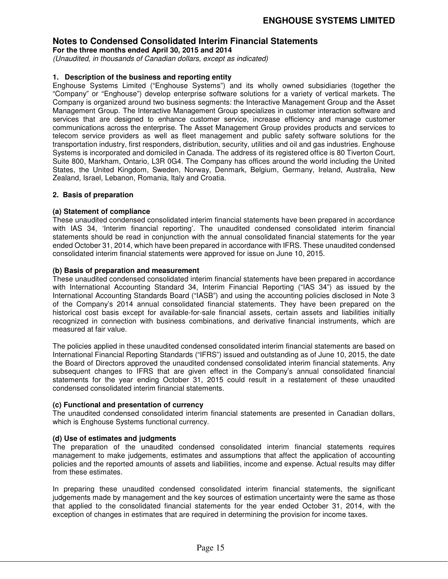**For the three months ended April 30, 2015 and 2014** 

*(Unaudited, in thousands of Canadian dollars, except as indicated)* 

#### **1. Description of the business and reporting entity**

Enghouse Systems Limited ("Enghouse Systems") and its wholly owned subsidiaries (together the "Company" or "Enghouse") develop enterprise software solutions for a variety of vertical markets. The Company is organized around two business segments: the Interactive Management Group and the Asset Management Group. The Interactive Management Group specializes in customer interaction software and services that are designed to enhance customer service, increase efficiency and manage customer communications across the enterprise. The Asset Management Group provides products and services to telecom service providers as well as fleet management and public safety software solutions for the transportation industry, first responders, distribution, security, utilities and oil and gas industries. Enghouse Systems is incorporated and domiciled in Canada. The address of its registered office is 80 Tiverton Court, Suite 800, Markham, Ontario, L3R 0G4. The Company has offices around the world including the United States, the United Kingdom, Sweden, Norway, Denmark, Belgium, Germany, Ireland, Australia, New Zealand, Israel, Lebanon, Romania, Italy and Croatia.

#### **2. Basis of preparation**

#### **(a) Statement of compliance**

These unaudited condensed consolidated interim financial statements have been prepared in accordance with IAS 34, 'Interim financial reporting'. The unaudited condensed consolidated interim financial statements should be read in conjunction with the annual consolidated financial statements for the year ended October 31, 2014, which have been prepared in accordance with IFRS. These unaudited condensed consolidated interim financial statements were approved for issue on June 10, 2015.

#### **(b) Basis of preparation and measurement**

These unaudited condensed consolidated interim financial statements have been prepared in accordance with International Accounting Standard 34, Interim Financial Reporting ("IAS 34") as issued by the International Accounting Standards Board ("IASB") and using the accounting policies disclosed in Note 3 of the Company's 2014 annual consolidated financial statements. They have been prepared on the historical cost basis except for available-for-sale financial assets, certain assets and liabilities initially recognized in connection with business combinations, and derivative financial instruments, which are measured at fair value.

The policies applied in these unaudited condensed consolidated interim financial statements are based on International Financial Reporting Standards ("IFRS") issued and outstanding as of June 10, 2015, the date the Board of Directors approved the unaudited condensed consolidated interim financial statements. Any subsequent changes to IFRS that are given effect in the Company's annual consolidated financial statements for the year ending October 31, 2015 could result in a restatement of these unaudited condensed consolidated interim financial statements.

#### **(c) Functional and presentation of currency**

The unaudited condensed consolidated interim financial statements are presented in Canadian dollars, which is Enghouse Systems functional currency.

#### **(d) Use of estimates and judgments**

The preparation of the unaudited condensed consolidated interim financial statements requires management to make judgements, estimates and assumptions that affect the application of accounting policies and the reported amounts of assets and liabilities, income and expense. Actual results may differ from these estimates.

In preparing these unaudited condensed consolidated interim financial statements, the significant judgements made by management and the key sources of estimation uncertainty were the same as those that applied to the consolidated financial statements for the year ended October 31, 2014, with the exception of changes in estimates that are required in determining the provision for income taxes.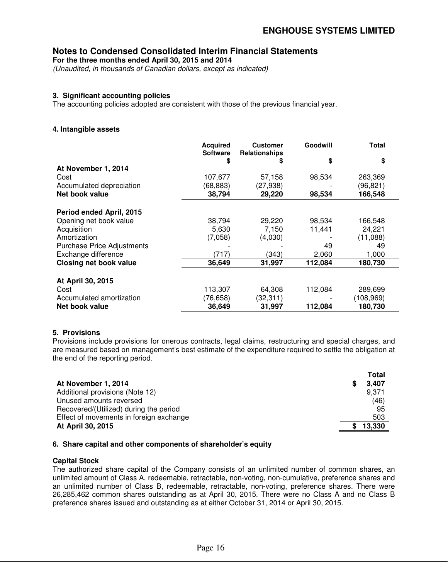**For the three months ended April 30, 2015 and 2014** 

*(Unaudited, in thousands of Canadian dollars, except as indicated)* 

#### **3. Significant accounting policies**

The accounting policies adopted are consistent with those of the previous financial year.

#### **4. Intangible assets**

|                                   | <b>Acquired</b><br><b>Software</b> | <b>Customer</b><br><b>Relationships</b> | Goodwill | <b>Total</b> |
|-----------------------------------|------------------------------------|-----------------------------------------|----------|--------------|
|                                   | \$                                 | S                                       | \$       | \$           |
| At November 1, 2014               |                                    |                                         |          |              |
| Cost                              | 107,677                            | 57,158                                  | 98,534   | 263,369      |
| Accumulated depreciation          | (68,883)                           | (27,938)                                |          | (96,821)     |
| Net book value                    | 38,794                             | 29,220                                  | 98,534   | 166,548      |
| Period ended April, 2015          |                                    |                                         |          |              |
| Opening net book value            | 38,794                             | 29,220                                  | 98,534   | 166.548      |
| Acquisition                       | 5,630                              | 7,150                                   | 11,441   | 24,221       |
| Amortization                      | (7,058)                            | (4,030)                                 |          | (11,088)     |
| <b>Purchase Price Adjustments</b> |                                    |                                         | 49       | 49           |
| Exchange difference               | (717)                              | (343)                                   | 2,060    | 1,000        |
| <b>Closing net book value</b>     | 36,649                             | 31,997                                  | 112,084  | 180,730      |
|                                   |                                    |                                         |          |              |
| At April 30, 2015                 |                                    |                                         |          |              |
| Cost                              | 113,307                            | 64,308                                  | 112,084  | 289,699      |
| Accumulated amortization          | (76,658)                           | (32,311)                                |          | (108, 969)   |
| Net book value                    | 36,649                             | 31,997                                  | 112,084  | 180,730      |

#### **5. Provisions**

Provisions include provisions for onerous contracts, legal claims, restructuring and special charges, and are measured based on management's best estimate of the expenditure required to settle the obligation at the end of the reporting period.

| <b>Total</b> |
|--------------|
| 3.407        |
| 9.371        |
| (46)         |
| 95           |
| 503          |
| 13,330       |
|              |

#### **6. Share capital and other components of shareholder's equity**

#### **Capital Stock**

The authorized share capital of the Company consists of an unlimited number of common shares, an unlimited amount of Class A, redeemable, retractable, non-voting, non-cumulative, preference shares and an unlimited number of Class B, redeemable, retractable, non-voting, preference shares. There were 26,285,462 common shares outstanding as at April 30, 2015. There were no Class A and no Class B preference shares issued and outstanding as at either October 31, 2014 or April 30, 2015.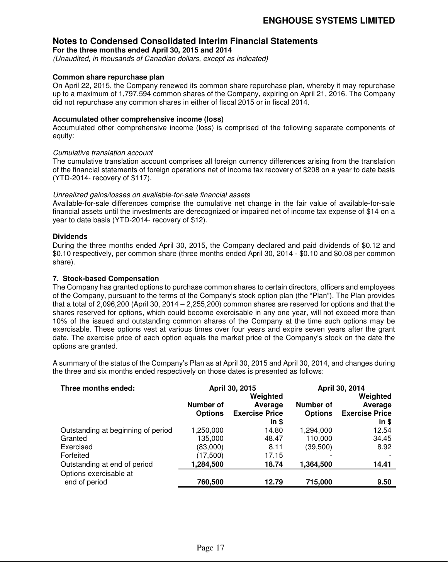**For the three months ended April 30, 2015 and 2014** 

*(Unaudited, in thousands of Canadian dollars, except as indicated)* 

#### **Common share repurchase plan**

On April 22, 2015, the Company renewed its common share repurchase plan, whereby it may repurchase up to a maximum of 1,797,594 common shares of the Company, expiring on April 21, 2016. The Company did not repurchase any common shares in either of fiscal 2015 or in fiscal 2014.

#### **Accumulated other comprehensive income (loss)**

Accumulated other comprehensive income (loss) is comprised of the following separate components of equity:

#### *Cumulative translation account*

The cumulative translation account comprises all foreign currency differences arising from the translation of the financial statements of foreign operations net of income tax recovery of \$208 on a year to date basis (YTD-2014- recovery of \$117).

#### *Unrealized gains/losses on available-for-sale financial assets*

Available-for-sale differences comprise the cumulative net change in the fair value of available-for-sale financial assets until the investments are derecognized or impaired net of income tax expense of \$14 on a year to date basis (YTD-2014- recovery of \$12).

#### **Dividends**

During the three months ended April 30, 2015, the Company declared and paid dividends of \$0.12 and \$0.10 respectively, per common share (three months ended April 30, 2014 - \$0.10 and \$0.08 per common share).

#### **7. Stock-based Compensation**

The Company has granted options to purchase common shares to certain directors, officers and employees of the Company, pursuant to the terms of the Company's stock option plan (the "Plan"). The Plan provides that a total of 2,096,200 (April 30, 2014 – 2,255,200) common shares are reserved for options and that the shares reserved for options, which could become exercisable in any one year, will not exceed more than 10% of the issued and outstanding common shares of the Company at the time such options may be exercisable. These options vest at various times over four years and expire seven years after the grant date. The exercise price of each option equals the market price of the Company's stock on the date the options are granted.

A summary of the status of the Company's Plan as at April 30, 2015 and April 30, 2014, and changes during the three and six months ended respectively on those dates is presented as follows:

| Three months ended:                     | April 30, 2015 |                       | April 30, 2014 |                       |  |
|-----------------------------------------|----------------|-----------------------|----------------|-----------------------|--|
|                                         | Number of      | Weighted<br>Average   | Number of      | Weighted<br>Average   |  |
|                                         | <b>Options</b> | <b>Exercise Price</b> | <b>Options</b> | <b>Exercise Price</b> |  |
|                                         |                | $in$ \$               |                | $in$ \$               |  |
| Outstanding at beginning of period      | 1,250,000      | 14.80                 | 1,294,000      | 12.54                 |  |
| Granted                                 | 135,000        | 48.47                 | 110,000        | 34.45                 |  |
| Exercised                               | (83,000)       | 8.11                  | (39, 500)      | 8.92                  |  |
| Forfeited                               | (17,500)       | 17.15                 |                |                       |  |
| Outstanding at end of period            | 1,284,500      | 18.74                 | 1,364,500      | 14.41                 |  |
| Options exercisable at<br>end of period | 760,500        | 12.79                 | 715,000        | 9.50                  |  |
|                                         |                |                       |                |                       |  |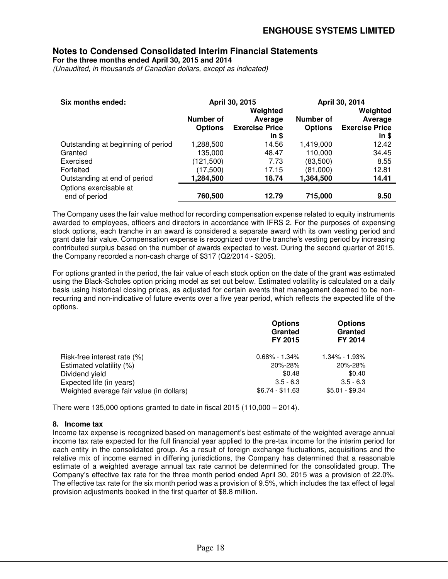**For the three months ended April 30, 2015 and 2014** 

*(Unaudited, in thousands of Canadian dollars, except as indicated)* 

| Six months ended:                  |                  | April 30, 2015        | April 30, 2014   |                       |  |
|------------------------------------|------------------|-----------------------|------------------|-----------------------|--|
|                                    |                  | Weighted              |                  | Weighted              |  |
|                                    | <b>Number of</b> | Average               | <b>Number of</b> | Average               |  |
|                                    | <b>Options</b>   | <b>Exercise Price</b> | <b>Options</b>   | <b>Exercise Price</b> |  |
|                                    |                  | in \$                 |                  | in \$                 |  |
| Outstanding at beginning of period | 1,288,500        | 14.56                 | 1,419,000        | 12.42                 |  |
| Granted                            | 135,000          | 48.47                 | 110,000          | 34.45                 |  |
| Exercised                          | (121,500)        | 7.73                  | (83,500)         | 8.55                  |  |
| Forfeited                          | (17,500)         | 17.15                 | (81,000)         | 12.81                 |  |
| Outstanding at end of period       | 1,284,500        | 18.74                 | 1,364,500        | 14.41                 |  |
| Options exercisable at             |                  |                       |                  |                       |  |
| end of period                      | 760,500          | 12.79                 | 715,000          | 9.50                  |  |

The Company uses the fair value method for recording compensation expense related to equity instruments awarded to employees, officers and directors in accordance with IFRS 2. For the purposes of expensing stock options, each tranche in an award is considered a separate award with its own vesting period and grant date fair value. Compensation expense is recognized over the tranche's vesting period by increasing contributed surplus based on the number of awards expected to vest. During the second quarter of 2015, the Company recorded a non-cash charge of \$317 (Q2/2014 - \$205).

For options granted in the period, the fair value of each stock option on the date of the grant was estimated using the Black-Scholes option pricing model as set out below. Estimated volatility is calculated on a daily basis using historical closing prices, as adjusted for certain events that management deemed to be nonrecurring and non-indicative of future events over a five year period, which reflects the expected life of the options.

|                                          | <b>Options</b><br>Granted<br><b>FY 2015</b> | <b>Options</b><br>Granted<br><b>FY 2014</b> |
|------------------------------------------|---------------------------------------------|---------------------------------------------|
| Risk-free interest rate (%)              | $0.68\% - 1.34\%$                           | $1.34\% - 1.93\%$                           |
| Estimated volatility (%)                 | 20%-28%                                     | 20%-28%                                     |
| Dividend yield                           | \$0.48                                      | \$0.40                                      |
| Expected life (in years)                 | $3.5 - 6.3$                                 | $3.5 - 6.3$                                 |
| Weighted average fair value (in dollars) | $$6.74 - $11.63$                            | $$5.01 - $9.34$                             |

There were 135,000 options granted to date in fiscal 2015 (110,000 – 2014).

#### **8. Income tax**

Income tax expense is recognized based on management's best estimate of the weighted average annual income tax rate expected for the full financial year applied to the pre-tax income for the interim period for each entity in the consolidated group. As a result of foreign exchange fluctuations, acquisitions and the relative mix of income earned in differing jurisdictions, the Company has determined that a reasonable estimate of a weighted average annual tax rate cannot be determined for the consolidated group. The Company's effective tax rate for the three month period ended April 30, 2015 was a provision of 22.0%. The effective tax rate for the six month period was a provision of 9.5%, which includes the tax effect of legal provision adjustments booked in the first quarter of \$8.8 million.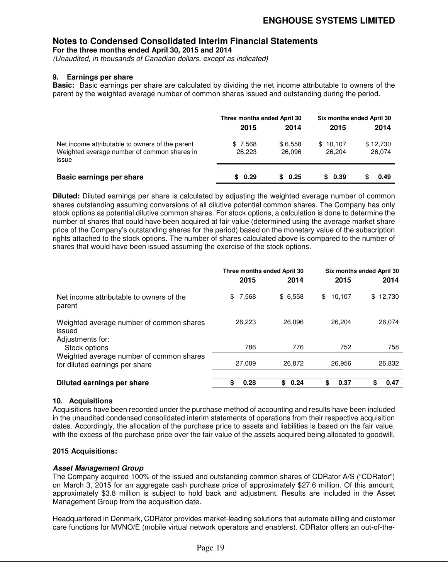**For the three months ended April 30, 2015 and 2014** 

*(Unaudited, in thousands of Canadian dollars, except as indicated)* 

#### **9. Earnings per share**

**Basic:** Basic earnings per share are calculated by dividing the net income attributable to owners of the parent by the weighted average number of common shares issued and outstanding during the period.

|                                                                                                         | Three months ended April 30 |                   | Six months ended April 30 |                    |
|---------------------------------------------------------------------------------------------------------|-----------------------------|-------------------|---------------------------|--------------------|
|                                                                                                         | 2015                        | 2014              | 2015                      | 2014               |
| Net income attributable to owners of the parent<br>Weighted average number of common shares in<br>issue | \$7,568<br>26.223           | \$6,558<br>26,096 | \$10,107<br>26.204        | \$12,730<br>26.074 |
| Basic earnings per share                                                                                | \$0.29                      | \$0.25            | 0.39<br>S.                | 0.49               |

**Diluted:** Diluted earnings per share is calculated by adjusting the weighted average number of common shares outstanding assuming conversions of all dilutive potential common shares. The Company has only stock options as potential dilutive common shares. For stock options, a calculation is done to determine the number of shares that could have been acquired at fair value (determined using the average market share price of the Company's outstanding shares for the period) based on the monetary value of the subscription rights attached to the stock options. The number of shares calculated above is compared to the number of shares that would have been issued assuming the exercise of the stock options.

|                                                                            | Three months ended April 30 |            | Six months ended April 30 |              |
|----------------------------------------------------------------------------|-----------------------------|------------|---------------------------|--------------|
|                                                                            | 2015                        | 2014       | 2015                      | 2014         |
| Net income attributable to owners of the<br>parent                         | \$7,568                     | \$6,558    | 10,107<br>\$              | 12,730<br>\$ |
| Weighted average number of common shares<br>issued<br>Adjustments for:     | 26,223                      | 26,096     | 26,204                    | 26,074       |
| Stock options                                                              | 786                         | 776        | 752                       | 758          |
| Weighted average number of common shares<br>for diluted earnings per share | 27,009                      | 26,872     | 26,956                    | 26,832       |
|                                                                            |                             |            |                           |              |
| Diluted earnings per share                                                 | \$<br>0.28                  | \$<br>0.24 | \$<br>0.37                | 0.47         |

#### **10. Acquisitions**

Acquisitions have been recorded under the purchase method of accounting and results have been included in the unaudited condensed consolidated interim statements of operations from their respective acquisition dates. Accordingly, the allocation of the purchase price to assets and liabilities is based on the fair value, with the excess of the purchase price over the fair value of the assets acquired being allocated to goodwill.

#### **2015 Acquisitions:**

#### **Asset Management Group**

The Company acquired 100% of the issued and outstanding common shares of CDRator A/S ("CDRator") on March 3, 2015 for an aggregate cash purchase price of approximately \$27.6 million. Of this amount, approximately \$3.8 million is subject to hold back and adjustment. Results are included in the Asset Management Group from the acquisition date.

Headquartered in Denmark, CDRator provides market-leading solutions that automate billing and customer care functions for MVNO/E (mobile virtual network operators and enablers). CDRator offers an out-of-the-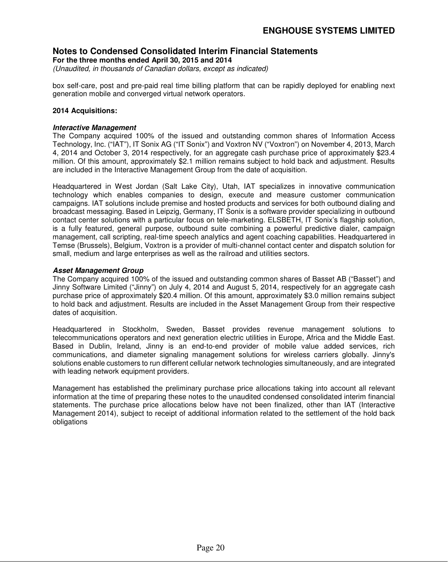**For the three months ended April 30, 2015 and 2014** 

*(Unaudited, in thousands of Canadian dollars, except as indicated)* 

box self-care, post and pre-paid real time billing platform that can be rapidly deployed for enabling next generation mobile and converged virtual network operators.

#### **2014 Acquisitions:**

#### **Interactive Management**

The Company acquired 100% of the issued and outstanding common shares of Information Access Technology, Inc. ("IAT"), IT Sonix AG ("IT Sonix") and Voxtron NV ("Voxtron") on November 4, 2013, March 4, 2014 and October 3, 2014 respectively, for an aggregate cash purchase price of approximately \$23.4 million. Of this amount, approximately \$2.1 million remains subject to hold back and adjustment. Results are included in the Interactive Management Group from the date of acquisition.

Headquartered in West Jordan (Salt Lake City), Utah, IAT specializes in innovative communication technology which enables companies to design, execute and measure customer communication campaigns. IAT solutions include premise and hosted products and services for both outbound dialing and broadcast messaging. Based in Leipzig, Germany, IT Sonix is a software provider specializing in outbound contact center solutions with a particular focus on tele-marketing. ELSBETH, IT Sonix's flagship solution, is a fully featured, general purpose, outbound suite combining a powerful predictive dialer, campaign management, call scripting, real-time speech analytics and agent coaching capabilities. Headquartered in Temse (Brussels), Belgium, Voxtron is a provider of multi-channel contact center and dispatch solution for small, medium and large enterprises as well as the railroad and utilities sectors.

#### **Asset Management Group**

The Company acquired 100% of the issued and outstanding common shares of Basset AB ("Basset") and Jinny Software Limited ("Jinny") on July 4, 2014 and August 5, 2014, respectively for an aggregate cash purchase price of approximately \$20.4 million. Of this amount, approximately \$3.0 million remains subject to hold back and adjustment. Results are included in the Asset Management Group from their respective dates of acquisition.

Headquartered in Stockholm, Sweden, Basset provides revenue management solutions to telecommunications operators and next generation electric utilities in Europe, Africa and the Middle East. Based in Dublin, Ireland, Jinny is an end-to-end provider of mobile value added services, rich communications, and diameter signaling management solutions for wireless carriers globally. Jinny's solutions enable customers to run different cellular network technologies simultaneously, and are integrated with leading network equipment providers.

Management has established the preliminary purchase price allocations taking into account all relevant information at the time of preparing these notes to the unaudited condensed consolidated interim financial statements. The purchase price allocations below have not been finalized, other than IAT (Interactive Management 2014), subject to receipt of additional information related to the settlement of the hold back obligations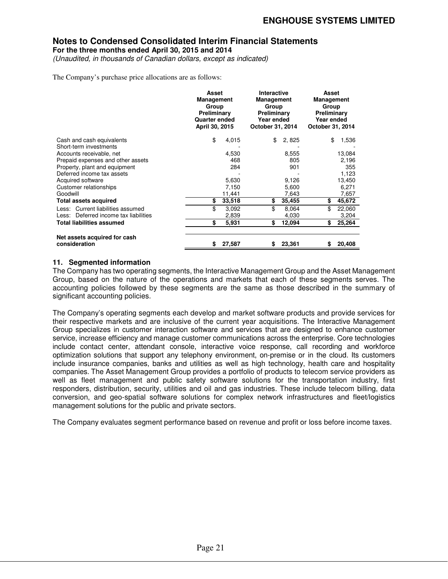**For the three months ended April 30, 2015 and 2014** 

*(Unaudited, in thousands of Canadian dollars, except as indicated)* 

The Company's purchase price allocations are as follows:

|                                               | Asset<br><b>Management</b><br>Group<br>Preliminary<br>Quarter ended<br>April 30, 2015 |        | Interactive<br><b>Management</b><br>Group<br>Preliminary<br>Year ended<br>October 31, 2014 |        | Asset<br><b>Management</b><br>Group<br>Preliminary<br>Year ended<br>October 31, 2014 |        |
|-----------------------------------------------|---------------------------------------------------------------------------------------|--------|--------------------------------------------------------------------------------------------|--------|--------------------------------------------------------------------------------------|--------|
| Cash and cash equivalents                     | \$                                                                                    | 4,015  | \$                                                                                         | 2,825  | \$                                                                                   | 1,536  |
| Short-term investments                        |                                                                                       |        |                                                                                            |        |                                                                                      |        |
| Accounts receivable, net                      |                                                                                       | 4,530  |                                                                                            | 8,555  |                                                                                      | 13,084 |
| Prepaid expenses and other assets             |                                                                                       | 468    |                                                                                            | 805    |                                                                                      | 2,196  |
| Property, plant and equipment                 |                                                                                       | 284    |                                                                                            | 901    |                                                                                      | 355    |
| Deferred income tax assets                    |                                                                                       |        |                                                                                            |        |                                                                                      | 1,123  |
| Acquired software                             |                                                                                       | 5,630  |                                                                                            | 9,126  |                                                                                      | 13,450 |
| Customer relationships                        |                                                                                       | 7,150  |                                                                                            | 5,600  |                                                                                      | 6,271  |
| Goodwill                                      |                                                                                       | 11,441 |                                                                                            | 7,643  |                                                                                      | 7,657  |
| Total assets acquired                         | \$                                                                                    | 33,518 | \$                                                                                         | 35,455 | \$                                                                                   | 45,672 |
| Less: Current liabilities assumed             | \$                                                                                    | 3,092  | \$                                                                                         | 8,064  | \$                                                                                   | 22,060 |
| Less: Deferred income tax liabilities         |                                                                                       | 2,839  |                                                                                            | 4,030  |                                                                                      | 3,204  |
| <b>Total liabilities assumed</b>              | \$                                                                                    | 5,931  | \$                                                                                         | 12,094 | \$                                                                                   | 25,264 |
|                                               |                                                                                       |        |                                                                                            |        |                                                                                      |        |
| Net assets acquired for cash<br>consideration | \$                                                                                    | 27,587 | S                                                                                          | 23,361 | \$                                                                                   | 20,408 |

#### **11. Segmented information**

The Company has two operating segments, the Interactive Management Group and the Asset Management Group, based on the nature of the operations and markets that each of these segments serves. The accounting policies followed by these segments are the same as those described in the summary of significant accounting policies.

The Company's operating segments each develop and market software products and provide services for their respective markets and are inclusive of the current year acquisitions. The Interactive Management Group specializes in customer interaction software and services that are designed to enhance customer service, increase efficiency and manage customer communications across the enterprise. Core technologies include contact center, attendant console, interactive voice response, call recording and workforce optimization solutions that support any telephony environment, on-premise or in the cloud. Its customers include insurance companies, banks and utilities as well as high technology, health care and hospitality companies. The Asset Management Group provides a portfolio of products to telecom service providers as well as fleet management and public safety software solutions for the transportation industry, first responders, distribution, security, utilities and oil and gas industries. These include telecom billing, data conversion, and geo-spatial software solutions for complex network infrastructures and fleet/logistics management solutions for the public and private sectors.

The Company evaluates segment performance based on revenue and profit or loss before income taxes.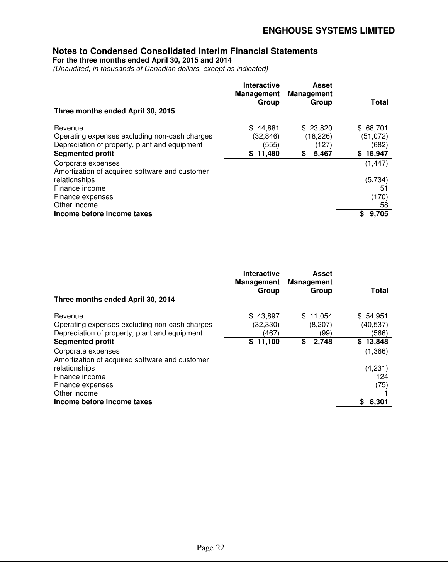**For the three months ended April 30, 2015 and 2014** 

*(Unaudited, in thousands of Canadian dollars, except as indicated)* 

|                                                                                                                                                                           | <b>Interactive</b><br><b>Management</b><br>Group | <b>Asset</b><br><b>Management</b><br>Group    | <b>Total</b>                                           |
|---------------------------------------------------------------------------------------------------------------------------------------------------------------------------|--------------------------------------------------|-----------------------------------------------|--------------------------------------------------------|
| Three months ended April 30, 2015                                                                                                                                         |                                                  |                                               |                                                        |
| Revenue<br>Operating expenses excluding non-cash charges<br>Depreciation of property, plant and equipment<br><b>Segmented profit</b>                                      | \$44.881<br>(32, 846)<br>(555)<br>\$11,480       | \$23,820<br>(18, 226)<br>(127)<br>\$<br>5,467 | \$68,701<br>(51, 072)<br>(682)<br>\$16,947<br>(1, 447) |
| Corporate expenses<br>Amortization of acquired software and customer<br>relationships<br>Finance income<br>Finance expenses<br>Other income<br>Income before income taxes |                                                  |                                               | (5,734)<br>51<br>(170)<br>58<br>9,705<br>S.            |

|                                                                                                                                                                                                              | Interactive<br><b>Management</b><br>Group | Asset<br><b>Management</b><br>Group       | Total                                                     |
|--------------------------------------------------------------------------------------------------------------------------------------------------------------------------------------------------------------|-------------------------------------------|-------------------------------------------|-----------------------------------------------------------|
| Three months ended April 30, 2014                                                                                                                                                                            |                                           |                                           |                                                           |
| Revenue<br>Operating expenses excluding non-cash charges<br>Depreciation of property, plant and equipment<br><b>Segmented profit</b><br>Corporate expenses<br>Amortization of acquired software and customer | \$43.897<br>(32,330)<br>(467)<br>\$11,100 | \$11.054<br>(8,207)<br>(99)<br>2,748<br>S | \$54,951<br>(40, 537)<br>(566)<br>13,848<br>S.<br>(1,366) |
| relationships<br>Finance income<br>Finance expenses<br>Other income<br>Income before income taxes                                                                                                            |                                           |                                           | (4,231)<br>124<br>(75)<br>8,301<br>\$                     |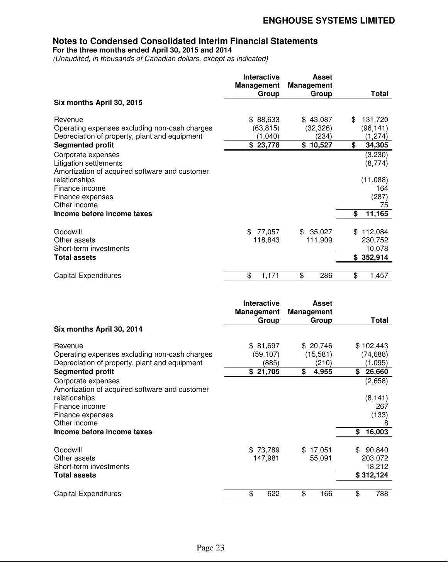**For the three months ended April 30, 2015 and 2014** 

*(Unaudited, in thousands of Canadian dollars, except as indicated)* 

|                                                | <b>Interactive</b><br><b>Management</b> | <b>Asset</b><br><b>Management</b> |               |
|------------------------------------------------|-----------------------------------------|-----------------------------------|---------------|
|                                                | Group                                   | Group                             | Total         |
| Six months April 30, 2015                      |                                         |                                   |               |
| Revenue                                        | \$88,633                                | \$43,087                          | 131,720<br>S  |
| Operating expenses excluding non-cash charges  | (63,815)                                | (32,326)                          | (96, 141)     |
| Depreciation of property, plant and equipment  | (1,040)                                 | (234)                             | (1, 274)      |
| <b>Segmented profit</b>                        | \$23,778                                | \$10,527                          | \$<br>34,305  |
| Corporate expenses                             |                                         |                                   | (3,230)       |
| Litigation settlements                         |                                         |                                   | (8,774)       |
| Amortization of acquired software and customer |                                         |                                   |               |
| relationships                                  |                                         |                                   | (11,088)      |
| Finance income                                 |                                         |                                   | 164           |
| Finance expenses                               |                                         |                                   | (287)         |
| Other income                                   |                                         |                                   | 75            |
| Income before income taxes                     |                                         |                                   | 11,165<br>\$  |
| Goodwill                                       | \$77,057                                | \$35,027                          | 112,084<br>\$ |
| Other assets                                   | 118,843                                 | 111,909                           | 230,752       |
| Short-term investments                         |                                         |                                   | 10,078        |
| <b>Total assets</b>                            |                                         |                                   | \$352,914     |
|                                                |                                         |                                   |               |
| <b>Capital Expenditures</b>                    | \$<br>1,171                             | \$<br>286                         | \$<br>1,457   |

|                                                | Interactive<br><b>Management</b> | Asset<br><b>Management</b> |              |
|------------------------------------------------|----------------------------------|----------------------------|--------------|
|                                                | Group                            | Group                      | Total        |
| Six months April 30, 2014                      |                                  |                            |              |
| Revenue                                        | \$81,697                         | \$20,746                   | \$102,443    |
| Operating expenses excluding non-cash charges  | (59,107)                         | (15, 581)                  | (74, 688)    |
| Depreciation of property, plant and equipment  | (885)                            | (210)                      | (1,095)      |
| <b>Segmented profit</b>                        | \$21,705                         | \$<br>4,955                | \$<br>26,660 |
| Corporate expenses                             |                                  |                            | (2,658)      |
| Amortization of acquired software and customer |                                  |                            |              |
| relationships                                  |                                  |                            | (8, 141)     |
| Finance income                                 |                                  |                            | 267          |
| Finance expenses                               |                                  |                            | (133)        |
| Other income                                   |                                  |                            | 8            |
| Income before income taxes                     |                                  |                            | 16,003<br>\$ |
|                                                |                                  |                            |              |
| Goodwill                                       | \$73,789                         | \$17,051                   | 90,840<br>\$ |
| Other assets                                   | 147,981                          | 55,091                     | 203,072      |
| Short-term investments                         |                                  |                            | 18,212       |
| Total assets                                   |                                  |                            | \$312,124    |
|                                                |                                  |                            |              |
| <b>Capital Expenditures</b>                    | \$<br>622                        | \$<br>166                  | \$<br>788    |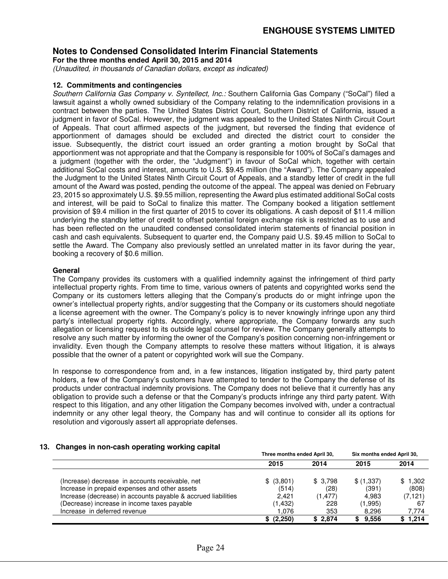**For the three months ended April 30, 2015 and 2014** 

*(Unaudited, in thousands of Canadian dollars, except as indicated)* 

#### **12. Commitments and contingencies**

*Southern California Gas Company v. Syntellect, Inc.:* Southern California Gas Company ("SoCal") filed a lawsuit against a wholly owned subsidiary of the Company relating to the indemnification provisions in a contract between the parties. The United States District Court, Southern District of California, issued a judgment in favor of SoCal. However, the judgment was appealed to the United States Ninth Circuit Court of Appeals. That court affirmed aspects of the judgment, but reversed the finding that evidence of apportionment of damages should be excluded and directed the district court to consider the issue. Subsequently, the district court issued an order granting a motion brought by SoCal that apportionment was not appropriate and that the Company is responsible for 100% of SoCal's damages and a judgment (together with the order, the "Judgment") in favour of SoCal which, together with certain additional SoCal costs and interest, amounts to U.S. \$9.45 million (the "Award"). The Company appealed the Judgment to the United States Ninth Circuit Court of Appeals, and a standby letter of credit in the full amount of the Award was posted, pending the outcome of the appeal. The appeal was denied on February 23, 2015 so approximately U.S. \$9.55 million, representing the Award plus estimated additional SoCal costs and interest, will be paid to SoCal to finalize this matter. The Company booked a litigation settlement provision of \$9.4 million in the first quarter of 2015 to cover its obligations. A cash deposit of \$11.4 million underlying the standby letter of credit to offset potential foreign exchange risk is restricted as to use and has been reflected on the unaudited condensed consolidated interim statements of financial position in cash and cash equivalents. Subsequent to quarter end, the Company paid U.S. \$9.45 million to SoCal to settle the Award. The Company also previously settled an unrelated matter in its favor during the year, booking a recovery of \$0.6 million.

#### **General**

The Company provides its customers with a qualified indemnity against the infringement of third party intellectual property rights. From time to time, various owners of patents and copyrighted works send the Company or its customers letters alleging that the Company's products do or might infringe upon the owner's intellectual property rights, and/or suggesting that the Company or its customers should negotiate a license agreement with the owner. The Company's policy is to never knowingly infringe upon any third party's intellectual property rights. Accordingly, where appropriate, the Company forwards any such allegation or licensing request to its outside legal counsel for review. The Company generally attempts to resolve any such matter by informing the owner of the Company's position concerning non-infringement or invalidity. Even though the Company attempts to resolve these matters without litigation, it is always possible that the owner of a patent or copyrighted work will sue the Company.

In response to correspondence from and, in a few instances, litigation instigated by, third party patent holders, a few of the Company's customers have attempted to tender to the Company the defense of its products under contractual indemnity provisions. The Company does not believe that it currently has any obligation to provide such a defense or that the Company's products infringe any third party patent. With respect to this litigation, and any other litigation the Company becomes involved with, under a contractual indemnity or any other legal theory, the Company has and will continue to consider all its options for resolution and vigorously assert all appropriate defenses.

#### **13. Changes in non-cash operating working capital**

|                                                               | Three months ended April 30, |          | Six months ended April 30, |         |
|---------------------------------------------------------------|------------------------------|----------|----------------------------|---------|
|                                                               | 2015                         | 2014     | 2015                       | 2014    |
| (Increase) decrease in accounts receivable, net               | \$ (3,801)                   | \$3,798  | \$(1,337)                  | \$1,302 |
| Increase in prepaid expenses and other assets                 | (514)                        | (28)     | (391)                      | (808)   |
| Increase (decrease) in accounts payable & accrued liabilities | 2.421                        | (1, 477) | 4.983                      | (7,121) |
| (Decrease) increase in income taxes payable                   | (1,432)                      | 228      | (1,995)                    | 67      |
| Increase in deferred revenue                                  | 1.076                        | 353      | 8,296                      | 7.774   |
|                                                               | \$ (2,250)                   | \$2,874  | \$9.556                    | \$1,214 |